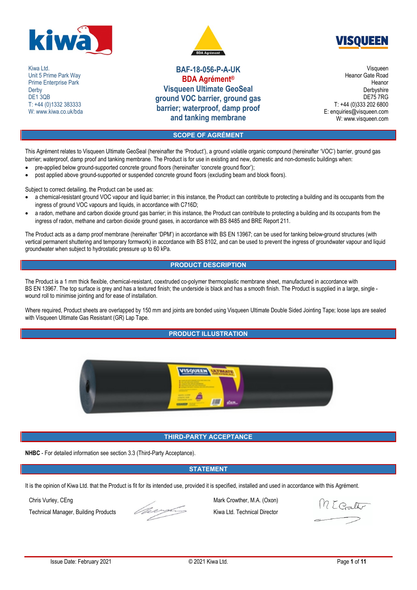

Kiwa I td. Unit 5 Prime Park Way Prime Enterprise Park **Derby** DE<sub>1</sub>3<sub>OB</sub> T: +44 (0)1332 383333 W: www.kiwa.co.uk/bda





**BAF-18-056-P-A-UK BDA Agrément® Visqueen Ultimate GeoSeal ground VOC barrier, ground gas barrier; waterproof, damp proof and tanking membrane**

Visqueen Heanor Gate Road Heanor **Derbyshire** DE75 7RG T: +44 (0)333 202 6800 E: enquiries@visqueen.com W: www.visqueen.com

## **SCOPE OF AGRÉMENT**

This Agrément relates to Visqueen Ultimate GeoSeal (hereinafter the 'Product'), a ground volatile organic compound (hereinafter 'VOC') barrier, ground gas barrier; waterproof, damp proof and tanking membrane. The Product is for use in existing and new, domestic and non-domestic buildings when:

- pre-applied below ground-supported concrete ground floors (hereinafter 'concrete ground floor');
- post applied above ground-supported or suspended concrete ground floors (excluding beam and block floors).

Subject to correct detailing, the Product can be used as:

- a chemical-resistant ground VOC vapour and liquid barrier; in this instance, the Product can contribute to protecting a building and its occupants from the ingress of ground VOC vapours and liquids, in accordance with C716D;
- a radon, methane and carbon dioxide ground gas barrier; in this instance, the Product can contribute to protecting a building and its occupants from the ingress of radon, methane and carbon dioxide ground gases, in accordance with BS 8485 and BRE Report 211.

The Product acts as a damp proof membrane (hereinafter 'DPM') in accordance with BS EN 13967; can be used for tanking below-ground structures (with vertical permanent shuttering and temporary formwork) in accordance with BS 8102, and can be used to prevent the ingress of groundwater vapour and liquid groundwater when subject to hydrostatic pressure up to 60 kPa.

## **PRODUCT DESCRIPTION**

The Product is a 1 mm thick flexible, chemical-resistant, coextruded co-polymer thermoplastic membrane sheet, manufactured in accordance with BS EN 13967. The top surface is grey and has a textured finish; the underside is black and has a smooth finish. The Product is supplied in a large, single wound roll to minimise jointing and for ease of installation.

Where required, Product sheets are overlapped by 150 mm and joints are bonded using Visqueen Ultimate Double Sided Jointing Tape; loose laps are sealed with Visqueen Ultimate Gas Resistant (GR) Lap Tape.

# **PRODUCT ILLUSTRATION**



## **THIRD-PARTY ACCEPTANCE**

**NHBC** - For detailed information see section 3.3 (Third-Party Acceptance).

## **STATEMENT**

It is the opinion of Kiwa Ltd. that the Product is fit for its intended use, provided it is specified, installed and used in accordance with this Agrément.



Chris Vurley, CEng Mark Crowther, M.A. (Oxon) Technical Manager, Building Products Kiwa Ltd. Technical Director

M E Coulter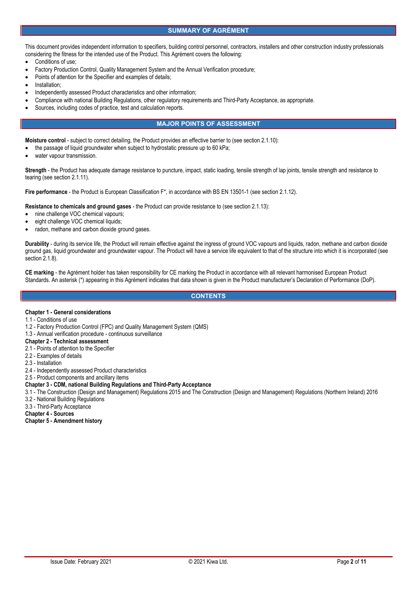## **SUMMARY OF AGRÉMENT**

This document provides independent information to specifiers, building control personnel, contractors, installers and other construction industry professionals considering the fitness for the intended use of the Product. This Agrément covers the following:

- Conditions of use;
- Factory Production Control, Quality Management System and the Annual Verification procedure;
- Points of attention for the Specifier and examples of details;
- Installation;
- Independently assessed Product characteristics and other information;
- Compliance with national Building Regulations, other regulatory requirements and Third-Party Acceptance, as appropriate.
- Sources, including codes of practice, test and calculation reports.

## **MAJOR POINTS OF ASSESSMENT**

**Moisture control** - subject to correct detailing, the Product provides an effective barrier to (see section 2.1.10):

- the passage of liquid groundwater when subject to hydrostatic pressure up to 60 kPa;
- water vapour transmission.

**Strength** - the Product has adequate damage resistance to puncture, impact, static loading, tensile strength of lap joints, tensile strength and resistance to tearing (see section 2.1.11).

**Fire performance** - the Product is European Classification F\*, in accordance with BS EN 13501-1 (see section 2.1.12).

**Resistance to chemicals and ground gases** - the Product can provide resistance to (see section 2.1.13):

- nine challenge VOC chemical vapours;
- eight challenge VOC chemical liquids;
- radon, methane and carbon dioxide ground gases.

**Durability** - during its service life, the Product will remain effective against the ingress of ground VOC vapours and liquids, radon, methane and carbon dioxide ground gas, liquid groundwater and groundwater vapour. The Product will have a service life equivalent to that of the structure into which it is incorporated (see section 2.1.8).

**CE marking** - the Agrément holder has taken responsibility for CE marking the Product in accordance with all relevant harmonised European Product Standards. An asterisk (\*) appearing in this Agrément indicates that data shown is given in the Product manufacturer's Declaration of Performance (DoP).

**CONTENTS**

### **Chapter 1 - General considerations**

- 1.1 Conditions of use
- 1.2 Factory Production Control (FPC) and Quality Management System (QMS)
- 1.3 Annual verification procedure continuous surveillance
- **Chapter 2 - Technical assessment**
- 2.1 Points of attention to the Specifier
- 2.2 Examples of details
- 2.3 Installation
- 2.4 Independently assessed Product characteristics

2.5 - Product components and ancillary items

#### **Chapter 3 - CDM, national Building Regulations and Third-Party Acceptance**

- 3.1 The Construction (Design and Management) Regulations 2015 and The Construction (Design and Management) Regulations (Northern Ireland) 2016
- 3.2 National Building Regulations
- 3.3 Third-Party Acceptance

**Chapter 4 - Sources**

**Chapter 5 - Amendment history**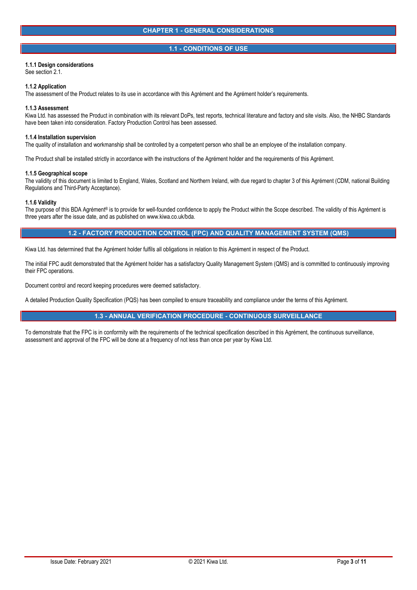## **1.1 - CONDITIONS OF USE**

## **1.1.1 Design considerations**

See section 2.1.

#### **1.1.2 Application**

The assessment of the Product relates to its use in accordance with this Agrément and the Agrément holder's requirements.

#### **1.1.3 Assessment**

Kiwa Ltd. has assessed the Product in combination with its relevant DoPs, test reports, technical literature and factory and site visits. Also, the NHBC Standards have been taken into consideration. Factory Production Control has been assessed.

#### **1.1.4 Installation supervision**

The quality of installation and workmanship shall be controlled by a competent person who shall be an employee of the installation company.

The Product shall be installed strictly in accordance with the instructions of the Agrément holder and the requirements of this Agrément.

#### **1.1.5 Geographical scope**

The validity of this document is limited to England, Wales, Scotland and Northern Ireland, with due regard to chapter 3 of this Agrément (CDM, national Building Regulations and Third-Party Acceptance).

#### **1.1.6 Validity**

The purpose of this BDA Agrément® is to provide for well-founded confidence to apply the Product within the Scope described. The validity of this Agrément is three years after the issue date, and as published on www.kiwa.co.uk/bda.

## **1.2 - FACTORY PRODUCTION CONTROL (FPC) AND QUALITY MANAGEMENT SYSTEM (QMS)**

Kiwa Ltd. has determined that the Agrément holder fulfils all obligations in relation to this Agrément in respect of the Product.

The initial FPC audit demonstrated that the Agrément holder has a satisfactory Quality Management System (QMS) and is committed to continuously improving their FPC operations.

Document control and record keeping procedures were deemed satisfactory.

A detailed Production Quality Specification (PQS) has been compiled to ensure traceability and compliance under the terms of this Agrément.

## **1.3 - ANNUAL VERIFICATION PROCEDURE - CONTINUOUS SURVEILLANCE**

To demonstrate that the FPC is in conformity with the requirements of the technical specification described in this Agrément, the continuous surveillance, assessment and approval of the FPC will be done at a frequency of not less than once per year by Kiwa Ltd.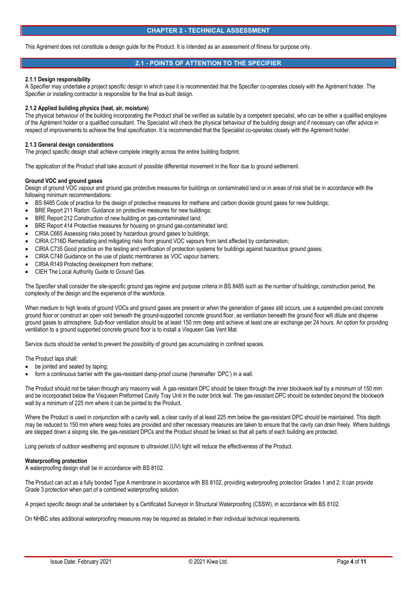#### **CHAPTER 2 - TECHNICAL ASSESSMENT**

This Agrément does not constitute a design guide for the Product. It is intended as an assessment of fitness for purpose only.

## **2.1 - POINTS OF ATTENTION TO THE SPECIFIER**

#### **2.1.1 Design responsibility**

A Specifier may undertake a project specific design in which case it is recommended that the Specifier co-operates closely with the Agrément holder. The Specifier or installing contractor is responsible for the final as-built design.

#### **2.1.2 Applied building physics (heat, air, moisture)**

The physical behaviour of the building incorporating the Product shall be verified as suitable by a competent specialist, who can be either a qualified employee of the Agrément holder or a qualified consultant. The Specialist will check the physical behaviour of the building design and if necessary can offer advice in respect of improvements to achieve the final specification. It is recommended that the Specialist co-operates closely with the Agrément holder.

#### **2.1.3 General design considerations**

The project specific design shall achieve complete integrity across the entire building footprint.

The application of the Product shall take account of possible differential movement in the floor due to ground settlement.

#### **Ground VOC and ground gases**

Design of ground VOC vapour and ground gas protective measures for buildings on contaminated land or in areas of risk shall be in accordance with the following minimum recommendations:

- BS 8485 Code of practice for the design of protective measures for methane and carbon dioxide ground gases for new buildings;
- BRE Report 211 Radon: Guidance on protective measures for new buildings;
- BRE Report 212 Construction of new building on gas-contaminated land;
- BRE Report 414 Protective measures for housing on ground gas-contaminated land;
- CIRIA C665 Assessing risks posed by hazardous ground gases to buildings;
- CIRIA C716D Remediating and mitigating risks from ground VOC vapours from land affected by contamination;
- CIRIA C735 Good practice on the testing and verification of protection systems for buildings against hazardous ground gases;
- CIRIA C748 Guidance on the use of plastic membranes as VOC vapour barriers;
- CIRIA R149 Protecting development from methane;
- CIEH The Local Authority Guide to Ground Gas.

The Specifier shall consider the site-specific ground gas regime and purpose criteria in BS 8485 such as the number of buildings, construction period, the complexity of the design and the experience of the workforce.

When medium to high levels of ground VOCs and ground gases are present or when the generation of gases still occurs, use a suspended pre-cast concrete ground floor or construct an open void beneath the ground-supported concrete ground floor, as ventilation beneath the ground floor will dilute and disperse ground gases to atmosphere. Sub-floor ventilation should be at least 150 mm deep and achieve at least one air exchange per 24 hours. An option for providing ventilation to a ground supported concrete ground floor is to install a Visqueen Gas Vent Mat.

Service ducts should be vented to prevent the possibility of ground gas accumulating in confined spaces.

The Product laps shall:

- be jointed and sealed by taping;
- form a continuous barrier with the gas-resistant damp-proof course (hereinafter 'DPC') in a wall.

The Product should not be taken through any masonry wall. A gas-resistant DPC should be taken through the inner blockwork leaf by a minimum of 150 mm and be incorporated below the Visqueen Preformed Cavity Tray Unit in the outer brick leaf. The gas-resistant DPC should be extended beyond the blockwork wall by a minimum of 225 mm where it can be jointed to the Product.

Where the Product is used in conjunction with a cavity wall, a clear cavity of at least 225 mm below the gas-resistant DPC should be maintained. This depth may be reduced to 150 mm where weep holes are provided and other necessary measures are taken to ensure that the cavity can drain freely. Where buildings are stepped down a sloping site, the gas-resistant DPCs and the Product should be linked so that all parts of each building are protected.

Long periods of outdoor weathering and exposure to ultraviolet (UV) light will reduce the effectiveness of the Product.

#### **Waterproofing protection**

A waterproofing design shall be in accordance with BS 8102.

The Product can act as a fully bonded Type A membrane in accordance with BS 8102, providing waterproofing protection Grades 1 and 2; it can provide Grade 3 protection when part of a combined waterproofing solution.

A project specific design shall be undertaken by a Certificated Surveyor in Structural Waterproofing (CSSW), in accordance with BS 8102.

On NHBC sites additional waterproofing measures may be required as detailed in their individual technical requirements.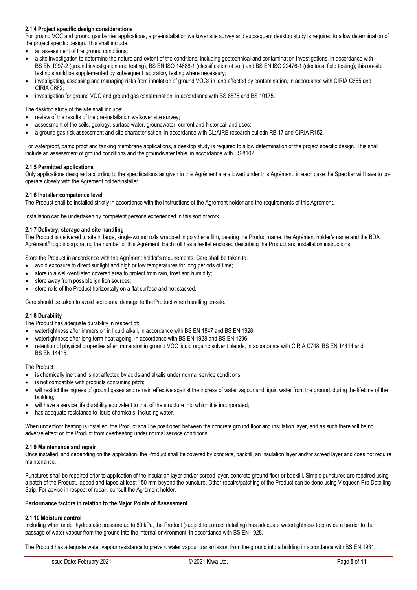## **2.1.4 Project specific design considerations**

For ground VOC and ground gas barrier applications, a pre-installation walkover site survey and subsequent desktop study is required to allow determination of the project specific design. This shall include:

- an assessment of the ground conditions;
- a site investigation to determine the nature and extent of the conditions, including geotechnical and contamination investigations, in accordance with BS EN 1997-2 (ground investigation and testing), BS EN ISO 14688-1 (classification of soil) and BS EN ISO 22476-1 (electrical field testing); this on-site testing should be supplemented by subsequent laboratory testing where necessary;
- investigating, assessing and managing risks from inhalation of ground VOCs in land affected by contamination, in accordance with CIRIA C665 and CIRIA C682;
- investigation for ground VOC and ground gas contamination, in accordance with BS 8576 and BS 10175.

The desktop study of the site shall include:

- review of the results of the pre-installation walkover site survey;
- assessment of the soils, geology, surface water, groundwater, current and historical land uses;
- a ground gas risk assessment and site characterisation, in accordance with CL:AIRE research bulletin RB 17 and CIRIA R152.

For waterproof, damp proof and tanking membrane applications, a desktop study is required to allow determination of the project specific design. This shall include an assessment of ground conditions and the groundwater table, in accordance with BS 8102.

#### **2.1.5 Permitted applications**

Only applications designed according to the specifications as given in this Agrément are allowed under this Agrément; in each case the Specifier will have to co operate closely with the Agrément holder/installer.

#### **2.1.6 Installer competence level**

The Product shall be installed strictly in accordance with the instructions of the Agrément holder and the requirements of this Agrément.

Installation can be undertaken by competent persons experienced in this sort of work.

#### **2.1.7 Delivery, storage and site handling**

The Product is delivered to site in large, single-wound rolls wrapped in polythene film, bearing the Product name, the Agrément holder's name and the BDA Agrément<sup>®</sup> logo incorporating the number of this Agrément. Each roll has a leaflet enclosed describing the Product and installation instructions.

Store the Product in accordance with the Agrément holder's requirements. Care shall be taken to:

- avoid exposure to direct sunlight and high or low temperatures for long periods of time;
- store in a well-ventilated covered area to protect from rain, frost and humidity;
- store away from possible ignition sources;
- store rolls of the Product horizontally on a flat surface and not stacked.

Care should be taken to avoid accidental damage to the Product when handling on-site.

#### **2.1.8 Durability**

The Product has adequate durability in respect of:

- watertightness after immersion in liquid alkali, in accordance with BS EN 1847 and BS EN 1928;
- watertightness after long term heat ageing, in accordance with BS EN 1928 and BS EN 1296;
- retention of physical properties after immersion in ground VOC liquid organic solvent blends, in accordance with CIRIA C748, BS EN 14414 and BS EN 14415.

#### The Product:

- is chemically inert and is not affected by acids and alkalis under normal service conditions;
- is not compatible with products containing pitch;
- will restrict the ingress of ground gases and remain effective against the ingress of water vapour and liquid water from the ground, during the lifetime of the building;
- will have a service life durability equivalent to that of the structure into which it is incorporated;
- has adequate resistance to liquid chemicals, including water.

When underfloor heating is installed, the Product shall be positioned between the concrete ground floor and insulation layer, and as such there will be no adverse effect on the Product from overheating under normal service conditions.

### **2.1.9 Maintenance and repair**

Once installed, and depending on the application, the Product shall be covered by concrete, backfill, an insulation layer and/or screed layer and does not require maintenance.

Punctures shall be repaired prior to application of the insulation layer and/or screed layer, concrete ground floor or backfill. Simple punctures are repaired using a patch of the Product, lapped and taped at least 150 mm beyond the puncture. Other repairs/patching of the Product can be done using Visqueen Pro Detailing Strip. For advice in respect of repair, consult the Agrément holder.

#### **Performance factors in relation to the Major Points of Assessment**

# **2.1.10 Moisture control**

Including when under hydrostatic pressure up to 60 kPa, the Product (subject to correct detailing) has adequate watertightness to provide a barrier to the passage of water vapour from the ground into the internal environment, in accordance with BS EN 1928.

The Product has adequate water vapour resistance to prevent water vapour transmission from the ground into a building in accordance with BS EN 1931.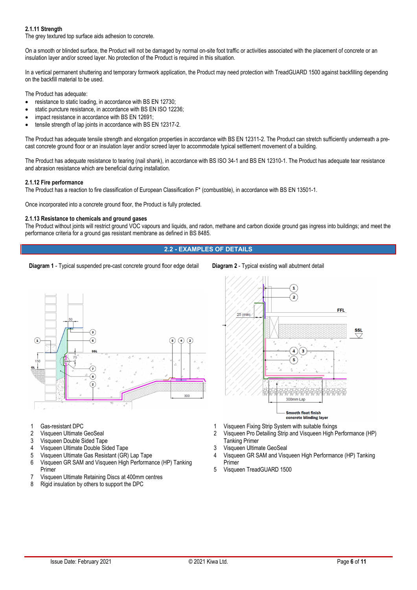## **2.1.11 Strength**

The grey textured top surface aids adhesion to concrete.

On a smooth or blinded surface, the Product will not be damaged by normal on-site foot traffic or activities associated with the placement of concrete or an insulation layer and/or screed layer. No protection of the Product is required in this situation.

In a vertical permanent shuttering and temporary formwork application, the Product may need protection with TreadGUARD 1500 against backfilling depending on the backfill material to be used.

The Product has adequate:

- resistance to static loading, in accordance with BS EN 12730;
- static puncture resistance, in accordance with BS EN ISO 12236;
- impact resistance in accordance with BS EN 12691;
- tensile strength of lap joints in accordance with BS EN 12317-2.

The Product has adequate tensile strength and elongation properties in accordance with BS EN 12311-2. The Product can stretch sufficiently underneath a pre cast concrete ground floor or an insulation layer and/or screed layer to accommodate typical settlement movement of a building.

The Product has adequate resistance to tearing (nail shank), in accordance with BS ISO 34-1 and BS EN 12310-1. The Product has adequate tear resistance and abrasion resistance which are beneficial during installation.

#### **2.1.12 Fire performance**

The Product has a reaction to fire classification of European Classification F\*(combustible), in accordance with BS EN 13501-1.

Once incorporated into a concrete ground floor, the Product is fully protected.

#### **2.1.13 Resistance to chemicals and ground gases**

The Product without joints will restrict ground VOC vapours and liquids, and radon, methane and carbon dioxide ground gas ingress into buildings; and meet the performance criteria for a ground gas resistant membrane as defined in BS 8485.

## **2.2 - EXAMPLES OF DETAILS**

**Diagram 1** - Typical suspended pre-cast concrete ground floor edge detail Diagram 2 - Typical existing wall abutment detail



- 1 Gas-resistant DPC<br>2 Visqueen Ultimate
- 2 Visqueen Ultimate GeoSeal<br>3 Visqueen Double Sided Tan
- Visqueen Double Sided Tape
- 4 Visqueen Ultimate Double Sided Tape
- 5 Visqueen Ultimate Gas Resistant (GR) Lap Tape
- 6 Visqueen GR SAM and Visqueen High Performance (HP) Tanking Primer
- 7 Visqueen Ultimate Retaining Discs at 400mm centres
- 8 Rigid insulation by others to support the DPC



- 
- 1 Visqueen Fixing Strip System withsuitable fixings 2 Visqueen Pro Detailing Strip and Visqueen High Performance (HP)
- Tanking Primer
- 3 Visqueen Ultimate GeoSeal
- 4 Visqueen GR SAM and Visqueen High Performance (HP) Tanking Primer
- 5 Visqueen TreadGUARD 1500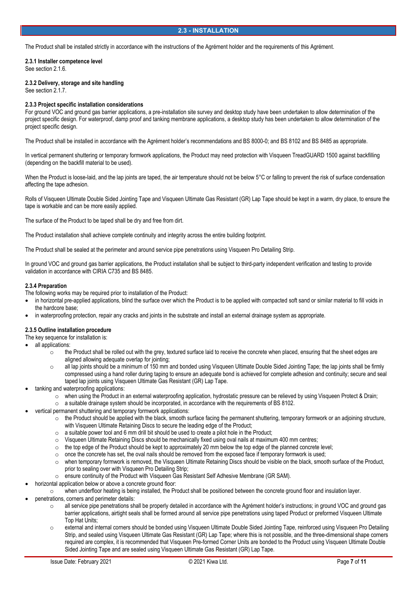## **2.3 - INSTALLATION**

The Product shall be installed strictly in accordance with the instructions of the Agrément holder and the requirements of this Agrément.

**2.3.1 Installer competence level** See section 2.1.6.

**2.3.2 Delivery, storage and site handling**

See section 2.1.7.

## **2.3.3 Project specific installation considerations**

For ground VOC and ground gas barrier applications, a pre-installation site survey and desktop study have been undertaken to allow determination of the project specific design. For waterproof, damp proof and tanking membrane applications, a desktop study has been undertaken to allow determination of the project specific design.

The Product shall be installed in accordance with the Agrément holder's recommendations and BS 8000-0; and BS 8102 and BS 8485 as appropriate.

In vertical permanent shuttering or temporary formwork applications, the Product may need protection with Visqueen TreadGUARD 1500 against backfilling (depending on the backfill material to be used).

When the Product is loose-laid, and the lap joints are taped, the air temperature should not be below 5°C or falling to prevent the risk of surface condensation affecting the tape adhesion.

Rolls of Visqueen Ultimate Double Sided Jointing Tape and Visqueen Ultimate Gas Resistant (GR) Lap Tape should be kept in a warm, dry place, to ensure the tape is workable and can be more easily applied.

The surface of the Product to be taped shall be dry and free from dirt.

The Product installation shall achieve complete continuity and integrity across the entire building footprint.

The Product shall be sealed at the perimeter and around service pipe penetrations using Visqueen Pro Detailing Strip.

In ground VOC and ground gas barrier applications, the Product installation shall be subject to third-party independent verification and testing to provide validation in accordance with CIRIA C735 and BS 8485.

### **2.3.4 Preparation**

The following works may be required prior to installation of the Product:

- in horizontal pre-applied applications, blind the surface over which the Product is to be applied with compacted soft sand or similar material to fill voids in the hardcore base;
- in waterproofing protection, repair any cracks and joints in the substrate and install an external drainage system as appropriate.

### **2.3.5 Outline installation procedure**

The key sequence for installation is:

- all applications:
	- $\circ$  the Product shall be rolled out with the grey, textured surface laid to receive the concrete when placed, ensuring that the sheet edges are aligned allowing adequate overlap for jointing;
	- o all lap joints should be a minimum of 150 mm and bonded using Visqueen Ultimate Double Sided Jointing Tape; the lap joints shall be firmly compressed using a hand roller during taping to ensure an adequate bond is achieved for complete adhesion and continuity; secure and seal taped lap joints using Visqueen Ultimate Gas Resistant (GR) Lap Tape.
- tanking and waterproofing applications:
	- o when using the Product in an external waterproofing application, hydrostatic pressure can be relieved by using Visqueen Protect & Drain;
	- $\circ$  a suitable drainage system should be incorporated, in accordance with the requirements of BS 8102. vertical permanent shuttering and temporary formwork applications:
- - $\circ$  the Product should be applied with the black, smooth surface facing the permanent shuttering, temporary formwork or an adjoining structure, with Visqueen Ultimate Retaining Discs to secure the leading edge of the Product;
	- $\circ$  a suitable power tool and 6 mm drill bit should be used to create a pilot hole in the Product;
	- $\circ$  Visqueen Ultimate Retaining Discs should be mechanically fixed using oval nails at maximum 400 mm centres;<br> $\circ$  the top edge of the Product should be kept to approximately 20 mm below the top edge of the planned conc
	- $\circ$  the top edge of the Product should be kept to approximately 20 mm below the top edge of the planned concrete level;<br>  $\circ$  once the concrete has set, the oval nails should be removed from the exposed face if temporary
	- o once the concrete has set, the oval nails should be removed from the exposed face if temporary formwork is used;
	- $\circ$  when temporary formwork is removed, the Visqueen Ultimate Retaining Discs should be visible on the black, smooth surface of the Product, prior to sealing over with Visqueen Pro Detailing Strip;
	- <sup>o</sup> ensure continuity of the Product with Visqueen Gas Resistant Self Adhesive Membrane (GR SAM). horizontal application below or above a concrete ground floor:
- 
- <sup>o</sup> when underfloor heating is being installed, the Product shall be positioned between the concrete ground floor and insulation layer. penetrations, corners and perimeter details:
- - $\circ$  all service pipe penetrations shall be properly detailed in accordance with the Agrément holder's instructions; in ground VOC and ground gas barrier applications, airtight seals shall be formed around all service pipe penetrations using taped Product or preformed Visqueen Ultimate Top Hat Units;
	- o external and internal corners should be bonded using Visqueen Ultimate Double Sided Jointing Tape, reinforced using Visqueen Pro Detailing Strip, and sealed using Visqueen Ultimate Gas Resistant (GR) Lap Tape; where this is not possible, and the three-dimensional shape corners required are complex, it is recommended that Visqueen Pre-formed Corner Units are bonded to the Product using Visqueen Ultimate Double Sided Jointing Tape and are sealed using Visqueen Ultimate Gas Resistant (GR) Lap Tape.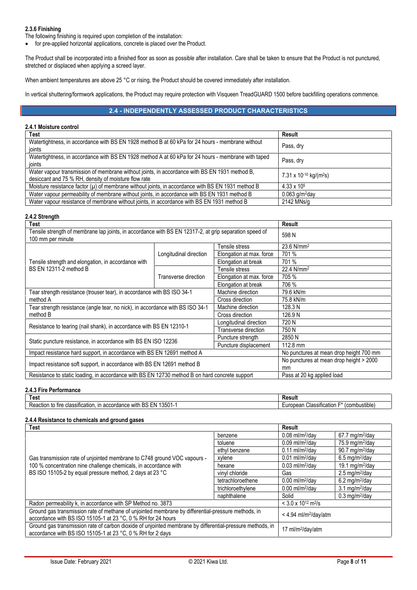## **2.3.6 Finishing**

The following finishing is required upon completion of the installation:

• for pre-applied horizontal applications, concrete is placed over the Product.

The Product shall be incorporated into a finished floor as soon as possible after installation. Care shall be taken to ensure that the Product is not punctured, stretched or displaced when applying a screed layer.

When ambient temperatures are above 25 °C or rising, the Product should be covered immediately after installation.

In vertical shuttering/formwork applications, the Product may require protection with Visqueen TreadGUARD 1500 before backfilling operations commence.

## **2.4 - INDEPENDENTLY ASSESSED PRODUCT CHARACTERISTICS**

## **2.4.1 Moisture control**

| <b>Test</b>                                                                                           | Result                                         |  |
|-------------------------------------------------------------------------------------------------------|------------------------------------------------|--|
| Watertightness, in accordance with BS EN 1928 method B at 60 kPa for 24 hours - membrane without      | Pass, dry                                      |  |
| ioints                                                                                                |                                                |  |
| Watertightness, in accordance with BS EN 1928 method A at 60 kPa for 24 hours - membrane with taped   |                                                |  |
| ioints                                                                                                | Pass, dry                                      |  |
| Water vapour transmission of membrane without joints, in accordance with BS EN 1931 method B,         | 7.31 x 10 <sup>-10</sup> kg/(m <sup>2</sup> s) |  |
| desiccant and 75 % RH, density of moisture flow rate                                                  |                                                |  |
| Moisture resistance factor $(\mu)$ of membrane without joints, in accordance with BS EN 1931 method B | $4.33 \times 10^{5}$                           |  |
| Water vapour permeability of membrane without joints, in accordance with BS EN 1931 method B          | $0.063$ g/m <sup>2</sup> day                   |  |
| Water vapour resistance of membrane without joints, in accordance with BS EN 1931 method B            | 2142 MNs/a                                     |  |

#### **2.4.2 Strength**

| <b>Test</b>                                                                                                                 |                        | <b>Result</b>                                 |                          |
|-----------------------------------------------------------------------------------------------------------------------------|------------------------|-----------------------------------------------|--------------------------|
| Tensile strength of membrane lap joints, in accordance with BS EN 12317-2, at grip separation speed of<br>100 mm per minute |                        | 598 N                                         |                          |
|                                                                                                                             | Longitudinal direction | Tensile stress                                | 23.6 N/mm <sup>2</sup>   |
|                                                                                                                             |                        | Elongation at max. force                      | 701 %                    |
| Tensile strength and elongation, in accordance with                                                                         |                        | Elongation at break                           | 701 %                    |
| BS EN 12311-2 method B                                                                                                      | Transverse direction   | Tensile stress                                | $22.4$ N/mm <sup>2</sup> |
|                                                                                                                             |                        | Elongation at max. force                      | 705 %                    |
|                                                                                                                             |                        | Elongation at break                           | 706 %                    |
| Machine direction<br>Tear strength resistance (trouser tear), in accordance with BS ISO 34-1<br>method A<br>Cross direction |                        |                                               | 79.6 kN/m                |
|                                                                                                                             |                        |                                               | 75.8 kN/m                |
| Tear strength resistance (angle tear, no nick), in accordance with BS ISO 34-1<br>method B                                  |                        | Machine direction                             | 128.3 N                  |
|                                                                                                                             |                        | Cross direction                               | 126.9 N                  |
| Resistance to tearing (nail shank), in accordance with BS EN 12310-1                                                        |                        | Longitudinal direction                        | 720 N                    |
|                                                                                                                             |                        | Transverse direction                          | 750 N                    |
| Puncture strength<br>Static puncture resistance, in accordance with BS EN ISO 12236<br>Puncture displacement                |                        | 2850 N                                        |                          |
|                                                                                                                             |                        |                                               | $112.8 \text{ mm}$       |
| Impact resistance hard support, in accordance with BS EN 12691 method A                                                     |                        | No punctures at mean drop height 700 mm       |                          |
| Impact resistance soft support, in accordance with BS EN 12691 method B                                                     |                        | No punctures at mean drop height > 2000<br>mm |                          |
| Resistance to static loading, in accordance with BS EN 12730 method B on hard concrete support                              |                        | Pass at 20 kg applied load                    |                          |

## **2.4.3 Fire Performance**

| Test                                                                                      | Result                                                                             |
|-------------------------------------------------------------------------------------------|------------------------------------------------------------------------------------|
| 13501-<br>accordance with<br>DC<br>i EN<br>Reaction<br>e classification.<br>to fire<br>כס | .<br>$\ddot{\phantom{0}}$<br>(combustible<br>lassification '<br>∟uropean<br>، بابا |

## **2.4.4 Resistance to chemicals and ground gases**

| <b>Test</b>                                                                                                                                                                                              |                   | Result                                       |                                 |
|----------------------------------------------------------------------------------------------------------------------------------------------------------------------------------------------------------|-------------------|----------------------------------------------|---------------------------------|
| Gas transmission rate of unjointed membrane to C748 ground VOC vapours -<br>100 % concentration nine challenge chemicals, in accordance with<br>BS ISO 15105-2 by equal pressure method, 2 days at 23 °C | benzene           | $0.08$ ml/m <sup>2</sup> /day                | $67.7$ mg/m <sup>2</sup> /day   |
|                                                                                                                                                                                                          | toluene           | $0.09$ ml/m <sup>2</sup> /dav                | 75.9 mg/m $^{2}$ /day           |
|                                                                                                                                                                                                          | ethyl benzene     | $0.11$ ml/m <sup>2</sup> /dav                | 90.7 mg/m $^{2}$ /day           |
|                                                                                                                                                                                                          | xylene            | $0.01$ ml/m <sup>2</sup> /dav                | $6.5 \text{ mg/m}^2/\text{day}$ |
|                                                                                                                                                                                                          | hexane            | $0.03$ ml/m <sup>2</sup> /dav                | 19.1 mg/m $^{2}$ /day           |
|                                                                                                                                                                                                          | vinyl chloride    | Gas                                          | $2.5 \text{ mg/m}^2/\text{day}$ |
|                                                                                                                                                                                                          | tetrachloroethene | $0.00$ ml/m <sup>2</sup> /day                | $6.2 \text{ mg/m}^2/\text{day}$ |
|                                                                                                                                                                                                          | trichloroethylene | $0.00$ ml/m <sup>2</sup> /dav                | $3.1 \text{ mg/m}^2/\text{day}$ |
|                                                                                                                                                                                                          | naphthalene       | Solid                                        | $0.3$ mg/m <sup>2</sup> /day    |
| Radon permeability k, in accordance with SP Method no. 3873                                                                                                                                              |                   | $<$ 3.0 x 10 <sup>12</sup> m <sup>2</sup> /s |                                 |
| Ground gas transmission rate of methane of unjointed membrane by differential-pressure methods, in                                                                                                       |                   | $<$ 4.94 ml/m <sup>2</sup> /dav/atm          |                                 |
| accordance with BS ISO 15105-1 at 23 °C, 0 % RH for 24 hours                                                                                                                                             |                   |                                              |                                 |
| Ground gas transmission rate of carbon dioxide of unjointed membrane by differential-pressure methods, in<br>accordance with BS ISO 15105-1 at 23 °C, 0 % RH for 2 days                                  |                   | 17 ml/m <sup>2</sup> /day/atm                |                                 |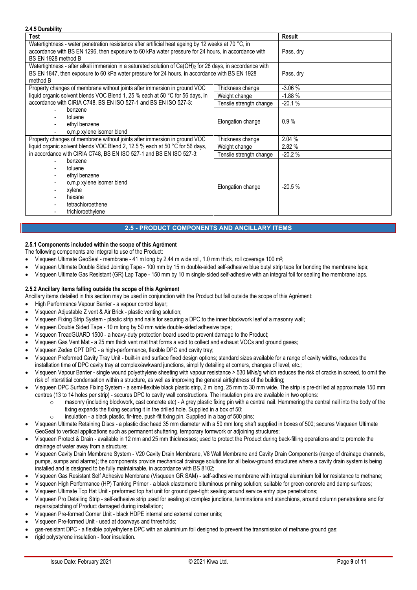## **2.4.5 Durability**

| ב.ה.ט השום כ                                                                                                                                                                                                                         |                         |               |
|--------------------------------------------------------------------------------------------------------------------------------------------------------------------------------------------------------------------------------------|-------------------------|---------------|
| Test                                                                                                                                                                                                                                 |                         | <b>Result</b> |
| Watertightness - water penetration resistance after artificial heat ageing by 12 weeks at 70 °C, in<br>accordance with BS EN 1296, then exposure to 60 kPa water pressure for 24 hours, in accordance with<br>BS EN 1928 method B    |                         | Pass, dry     |
| Watertightness - after alkali immersion in a saturated solution of Ca(OH) <sub>2</sub> for 28 days, in accordance with<br>BS EN 1847, then exposure to 60 kPa water pressure for 24 hours, in accordance with BS EN 1928<br>method B |                         | Pass, dry     |
| Property changes of membrane without joints after immersion in ground VOC                                                                                                                                                            | Thickness change        | $-3.06%$      |
| liquid organic solvent blends VOC Blend 1, 25 % each at 50 °C for 56 days, in                                                                                                                                                        | Weight change           | $-1.88%$      |
| accordance with CIRIA C748, BS EN ISO 527-1 and BS EN ISO 527-3:                                                                                                                                                                     | Tensile strength change | $-20.1%$      |
| benzene<br>toluene<br>ethyl benzene<br>o, m, p xylene isomer blend                                                                                                                                                                   | Elongation change       | 0.9%          |
| Property changes of membrane without joints after immersion in ground VOC                                                                                                                                                            | Thickness change        | 2.04 %        |
| liquid organic solvent blends VOC Blend 2, 12.5 % each at 50 °C for 56 days,                                                                                                                                                         | Weight change           | 2.82 %        |
| in accordance with CIRIA C748, BS EN ISO 527-1 and BS EN ISO 527-3:                                                                                                                                                                  | Tensile strength change | $-20.2%$      |
| benzene<br>toluene<br>ethyl benzene<br>o, m, p xylene isomer blend<br>xylene<br>$\overline{\phantom{a}}$<br>hexane<br>tetrachloroethene<br>trichloroethylene                                                                         | Elongation change       | $-20.5%$      |

## **2.5 - PRODUCT COMPONENTS AND ANCILLARY ITEMS**

## **2.5.1 Components included within the scope of this Agrément**

The following components are integral to use of the Product:

- Visqueen Ultimate GeoSeal membrane 41 m long by 2.44 m wide roll, 1.0 mm thick, roll coverage 100 m<sup>2</sup>;
- Visqueen Ultimate Double Sided Jointing Tape 100 mm by 15 m double-sided self-adhesive blue butyl strip tape for bonding the membrane laps;
- Visqueen Ultimate Gas Resistant (GR) Lap Tape 150 mm by 10 m single-sided self-adhesive with an integral foil for sealing the membrane laps.

### **2.5.2 Ancillary items falling outside the scope of this Agrément**

Ancillary items detailed in this section may be used in conjunction with the Product but fall outside the scope of this Agrément:

- High Performance Vapour Barrier a vapour control layer;
- Visqueen Adjustable Z vent & Air Brick plastic venting solution;
- Visqueen Fixing Strip System plastic strip and nails for securing a DPC to the inner blockwork leaf of a masonry wall;
- Visqueen Double Sided Tape 10 m long by 50 mm wide double-sided adhesive tape;
- Visqueen TreadGUARD 1500 a heavy-duty protection board used to prevent damage to the Product;
- Visqueen Gas Vent Mat a 25 mm thick vent mat that forms a void to collect and exhaust VOCs and ground gases;
- Visqueen Zedex CPT DPC a high-performance, flexible DPC and cavity tray;
- Visqueen Preformed Cavity Tray Unit built-in and surface fixed design options; standard sizes available for a range of cavity widths, reduces the installation time of DPC cavity tray at complex/awkward junctions, simplify detailing at corners, changes of level, etc.;
- Visqueen Vapour Barrier single wound polyethylene sheeting with vapour resistance > 530 MNs/g which reduces the risk of cracks in screed, to omit the risk of interstitial condensation within a structure, as well as improving the general airtightness of the building;
- Visqueen DPC Surface Fixing System a semi-flexible black plastic strip, 2 m long, 25 mm to 30 mm wide. The strip is pre-drilled at approximate 150 mm centres (13 to 14 holes per strip) - secures DPC to cavity wall constructions. The insulation pins are available in two options:
	- $\circ$  masonry (including blockwork, cast concrete etc) A grey plastic fixing pin with a central nail. Hammering the central nail into the body of the fixing expands the fixing securing it in the drilled hole. Supplied in a box of 50;
		-
- o insulation a black plastic, fir-tree, push-fit fixing pin. Supplied in a bag of 500 pins;<br>Visqueen Ultimate Retaining Discs a plastic disc head 35 mm diameter with a 50 mm long shaft supplied in boxes of 500; secures GeoSeal to vertical applications such as permanent shuttering, temporary formwork or adjoining structures;
- Visqueen Protect & Drain available in 12 mm and 25 mm thicknesses; used to protect the Product during back-filling operations and to promote the drainage of water away from a structure;
- Visqueen Cavity Drain Membrane System V20 Cavity Drain Membrane, V8 Wall Membrane and Cavity Drain Components (range of drainage channels, pumps, sumps and alarms); the components provide mechanical drainage solutions for all below-ground structures where a cavity drain system is being installed and is designed to be fully maintainable, in accordance with BS 8102;
- Visqueen Gas Resistant Self Adhesive Membrane (Visqueen GR SAM) self-adhesive membrane with integral aluminium foil for resistance to methane;
- Visqueen High Performance (HP) Tanking Primer a black elastomeric bituminous priming solution; suitable for green concrete and damp surfaces;
- Visqueen Ultimate Top Hat Unit preformed top hat unit for ground gas-tight sealing around service entry pipe penetrations;
- Visqueen Pro Detailing Strip self-adhesive strip used for sealing at complex junctions, terminations and stanchions, around column penetrations and for repairs/patching of Product damaged during installation;
- Visqueen Pre-formed Corner Unit black HDPE internal and external corner units;
- Visqueen Pre-formed Unit used at doorways and thresholds;
- gas-resistant DPC a flexible polyethylene DPC with an aluminium foil designed to prevent the transmission of methane ground gas;
- rigid polystyrene insulation floor insulation.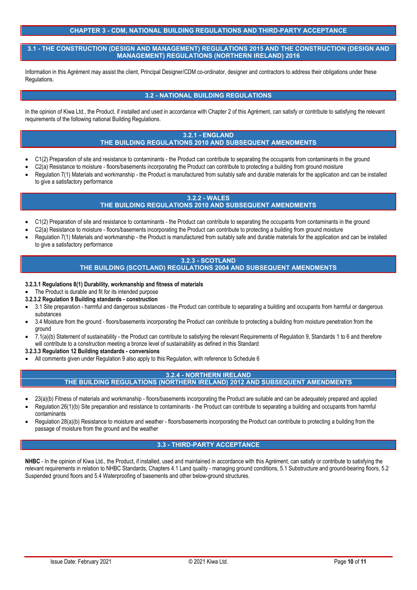## **CHAPTER 3 - CDM, NATIONAL BUILDING REGULATIONS AND THIRD-PARTY ACCEPTANCE**

**3.1 - THE CONSTRUCTION (DESIGN AND MANAGEMENT) REGULATIONS 2015 AND THE CONSTRUCTION (DESIGN AND MANAGEMENT) REGULATIONS (NORTHERN IRELAND) 2016**

Information in this Agrément may assist the client, Principal Designer/CDM co-ordinator, designer and contractors to address their obligations under these Regulations.

## **3.2 - NATIONAL BUILDING REGULATIONS**

In the opinion of Kiwa Ltd., the Product, if installed and used in accordance with Chapter 2 of this Agrément, can satisfy or contribute to satisfying the relevant requirements of the following national Building Regulations.

## **3.2.1 - ENGLAND THE BUILDING REGULATIONS 2010 AND SUBSEQUENT AMENDMENTS**

- C1(2) Preparation of site and resistance to contaminants the Product can contribute to separating the occupants from contaminants in the ground
- C2(a) Resistance to moisture floors/basements incorporating the Product can contribute to protecting a building from ground moisture
- Regulation 7(1) Materials and workmanship the Product is manufactured from suitably safe and durable materials for the application and can be installed to give a satisfactory performance

# **3.2.2 - WALES**

# **THE BUILDING REGULATIONS 2010 AND SUBSEQUENT AMENDMENTS**

- C1(2) Preparation of site and resistance to contaminants the Product can contribute to separating the occupants from contaminants in the ground
- C2(a) Resistance to moisture floors/basements incorporating the Product can contribute to protecting a building from ground moisture
- Regulation 7(1) Materials and workmanship the Product is manufactured from suitably safe and durable materials for the application and can be installed to give a satisfactory performance

#### **3.2.3 - SCOTLAND THE BUILDING (SCOTLAND) REGULATIONS 2004 AND SUBSEQUENT AMENDMENTS**

- **3.2.3.1 Regulations 8(1) Durability, workmanship and fitness of materials**
- The Product is durable and fit for its intended purpose
- **3.2.3.2 Regulation 9 Building standards - construction**
- 3.1 Site preparation harmful and dangerous substances the Product can contribute to separating a building and occupants from harmful or dangerous substances
- 3.4 Moisture from the ground floors/basements incorporating the Product can contribute to protecting a building from moisture penetration from the ground
- 7.1(a)(b) Statement of sustainability the Product can contribute to satisfying the relevant Requirements of Regulation 9, Standards 1 to 6 and therefore will contribute to a construction meeting a bronze level of sustainability as defined in this Standard
- **3.2.3.3 Regulation 12 Building standards - conversions**
- All comments given under Regulation 9 also apply to this Regulation, with reference to Schedule 6

## **3.2.4 - NORTHERN IRELAND**

**THE BUILDING REGULATIONS (NORTHERN IRELAND) 2012 AND SUBSEQUENT AMENDMENTS**

- 23(a)(b) Fitness of materials and workmanship floors/basements incorporating the Product are suitable and can be adequately prepared and applied
- Regulation 26(1)(b) Site preparation and resistance to contaminants the Product can contribute to separating a building and occupants from harmful contaminants
- Regulation 28(a)(b) Resistance to moisture and weather floors/basements incorporating the Product can contribute to protecting a building from the passage of moisture from the ground and the weather

### **3.3 - THIRD-PARTY ACCEPTANCE**

**NHBC** - In the opinion of Kiwa Ltd., the Product, if installed, used and maintained in accordance with this Agrément, can satisfy or contribute to satisfying the relevant requirements in relation to NHBC Standards, Chapters 4.1 Land quality - managing ground conditions, 5.1 Substructure and ground-bearing floors, 5.2 Suspended ground floors and 5.4 Waterproofing of basements and other below-ground structures.